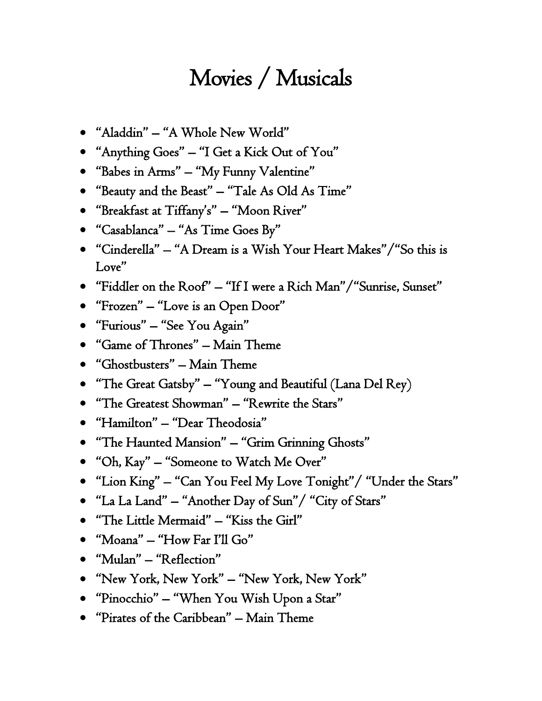## Movies / Musicals

- "Aladdin" "A Whole New World"
- "Anything Goes" "I Get a Kick Out of You"
- "Babes in Arms" "My Funny Valentine"
- "Beauty and the Beast" "Tale As Old As Time"
- "Breakfast at Tiffany's" "Moon River"
- "Casablanca" "As Time Goes By"
- "Cinderella" "A Dream is a Wish Your Heart Makes"/"So this is Love"
- "Fiddler on the Roof" "If I were a Rich Man"/"Sunrise, Sunset"
- "Frozen" "Love is an Open Door"
- "Furious" "See You Again"
- "Game of Thrones" Main Theme
- "Ghostbusters" Main Theme
- "The Great Gatsby" "Young and Beautiful (Lana Del Rey)
- "The Greatest Showman" "Rewrite the Stars"
- "Hamilton" "Dear Theodosia"
- "The Haunted Mansion" "Grim Grinning Ghosts"
- "Oh, Kay" "Someone to Watch Me Over"
- "Lion King" "Can You Feel My Love Tonight"/ "Under the Stars"
- "La La Land" "Another Day of Sun"/ "City of Stars"
- "The Little Mermaid" "Kiss the Girl"
- "Moana" "How Far I'll Go"
- "Mulan" "Reflection"
- "New York, New York" "New York, New York"
- "Pinocchio" "When You Wish Upon a Star"
- "Pirates of the Caribbean" Main Theme